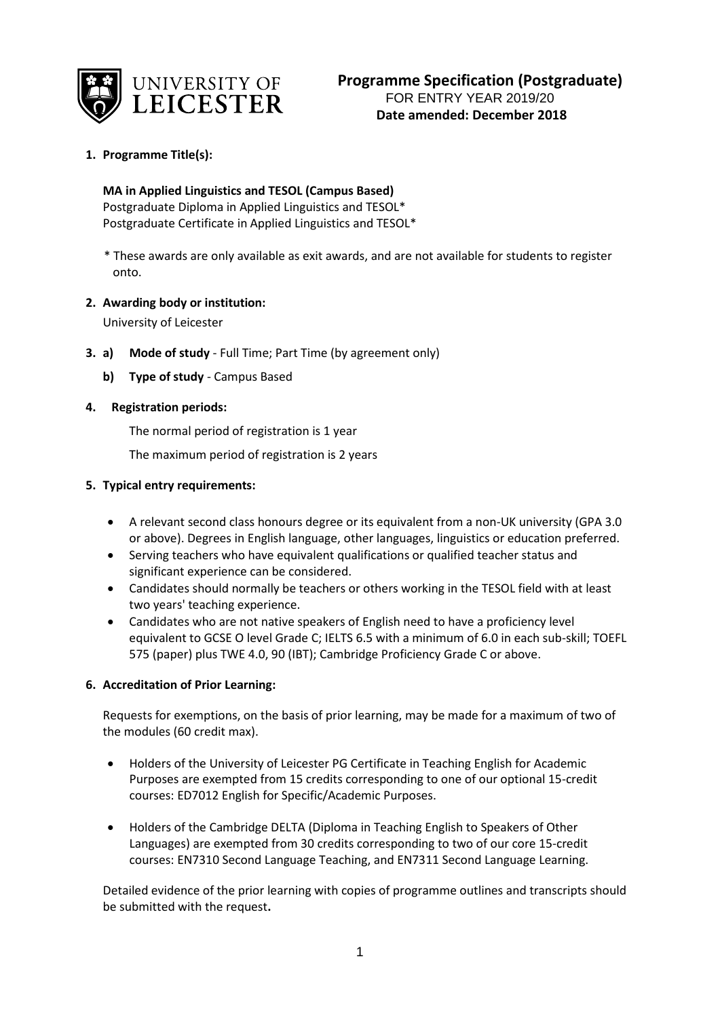

# **1. Programme Title(s):**

### **MA in Applied Linguistics and TESOL (Campus Based)**

Postgraduate Diploma in Applied Linguistics and TESOL\* Postgraduate Certificate in Applied Linguistics and TESOL\*

 \* These awards are only available as exit awards, and are not available for students to register onto.

### **2. Awarding body or institution:**

University of Leicester

- **3. a) Mode of study**  Full Time; Part Time (by agreement only)
	- **b) Type of study** Campus Based

## **4. Registration periods:**

The normal period of registration is 1 year

The maximum period of registration is 2 years

### **5. Typical entry requirements:**

- A relevant second class honours degree or its equivalent from a non-UK university (GPA 3.0 or above). Degrees in English language, other languages, linguistics or education preferred.
- Serving teachers who have equivalent qualifications or qualified teacher status and significant experience can be considered.
- Candidates should normally be teachers or others working in the TESOL field with at least two years' teaching experience.
- Candidates who are not native speakers of English need to have a proficiency level equivalent to GCSE O level Grade C; IELTS 6.5 with a minimum of 6.0 in each sub-skill; TOEFL 575 (paper) plus TWE 4.0, 90 (IBT); Cambridge Proficiency Grade C or above.

## **6. Accreditation of Prior Learning:**

Requests for exemptions, on the basis of prior learning, may be made for a maximum of two of the modules (60 credit max).

- Holders of the University of Leicester PG Certificate in Teaching English for Academic Purposes are exempted from 15 credits corresponding to one of our optional 15-credit courses: ED7012 English for Specific/Academic Purposes.
- Holders of the Cambridge DELTA (Diploma in Teaching English to Speakers of Other Languages) are exempted from 30 credits corresponding to two of our core 15-credit courses: EN7310 Second Language Teaching, and EN7311 Second Language Learning.

Detailed evidence of the prior learning with copies of programme outlines and transcripts should be submitted with the request**.**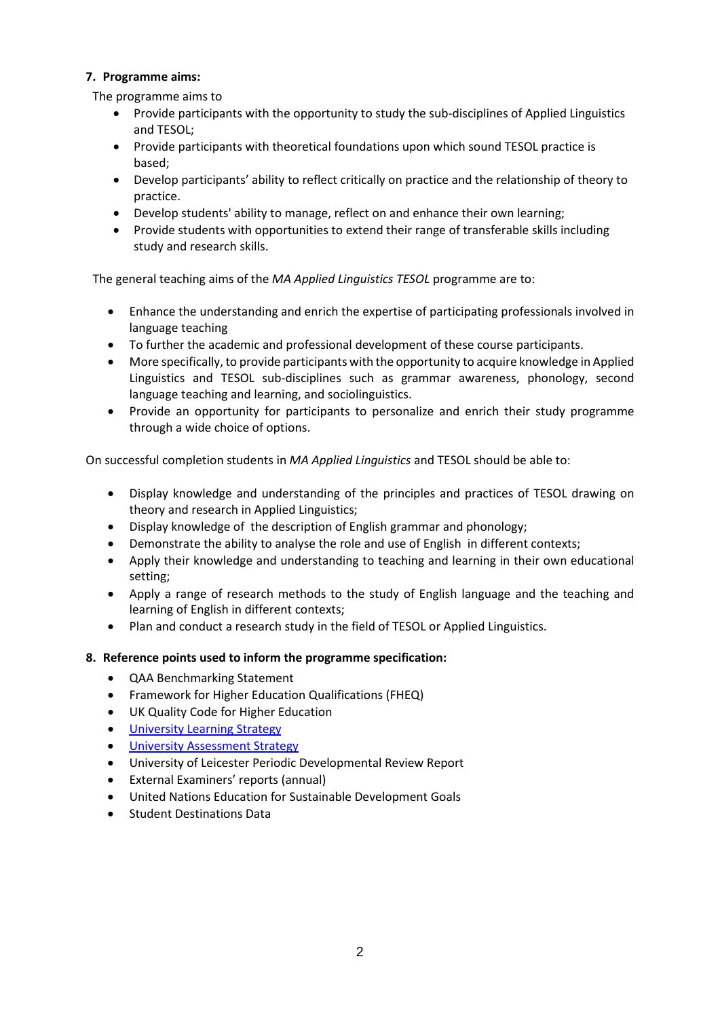## **7. Programme aims:**

The programme aims to

- Provide participants with the opportunity to study the sub-disciplines of Applied Linguistics and TESOL;
- Provide participants with theoretical foundations upon which sound TESOL practice is based;
- Develop participants' ability to reflect critically on practice and the relationship of theory to practice.
- Develop students' ability to manage, reflect on and enhance their own learning;
- Provide students with opportunities to extend their range of transferable skills including study and research skills.

The general teaching aims of the *MA Applied Linguistics TESOL* programme are to:

- Enhance the understanding and enrich the expertise of participating professionals involved in language teaching
- To further the academic and professional development of these course participants.
- More specifically, to provide participants with the opportunity to acquire knowledge in Applied Linguistics and TESOL sub-disciplines such as grammar awareness, phonology, second language teaching and learning, and sociolinguistics.
- Provide an opportunity for participants to personalize and enrich their study programme through a wide choice of options.

On successful completion students in *MA Applied Linguistics* and TESOL should be able to:

- Display knowledge and understanding of the principles and practices of TESOL drawing on theory and research in Applied Linguistics;
- Display knowledge of the description of English grammar and phonology;
- Demonstrate the ability to analyse the role and use of English in different contexts;
- Apply their knowledge and understanding to teaching and learning in their own educational setting;
- Apply a range of research methods to the study of English language and the teaching and learning of English in different contexts;
- Plan and conduct a research study in the field of TESOL or Applied Linguistics.

### **8. Reference points used to inform the programme specification:**

- QAA Benchmarking Statement
- Framework for Higher Education Qualifications (FHEQ)
- UK Quality Code for Higher Education
- University Learnin[g Strategy](https://www2.le.ac.uk/offices/sas2/quality/learnteach)
- [University Assessment Strategy](https://www2.le.ac.uk/offices/sas2/quality/learnteach)
- University of Leicester Periodic Developmental Review Report
- External Examiners' reports (annual)
- United Nations Education for Sustainable Development Goals
- Student Destinations Data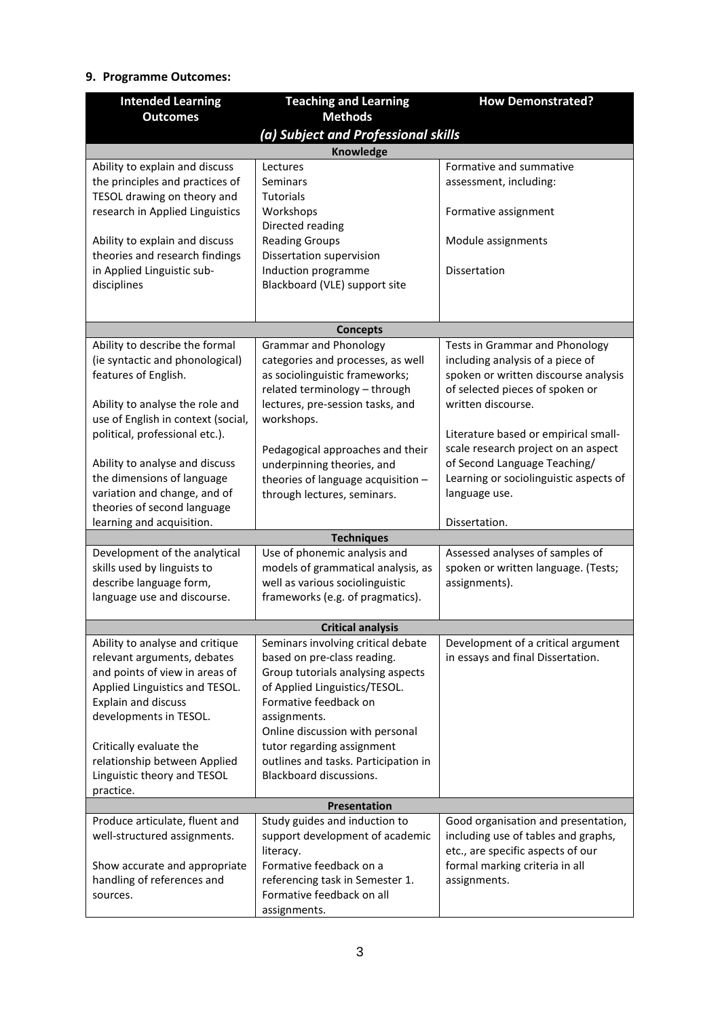# **9. Programme Outcomes:**

| <b>Intended Learning</b>                                          | <b>Teaching and Learning</b>                                      | <b>How Demonstrated?</b>                                           |  |  |  |
|-------------------------------------------------------------------|-------------------------------------------------------------------|--------------------------------------------------------------------|--|--|--|
| <b>Outcomes</b>                                                   | <b>Methods</b>                                                    |                                                                    |  |  |  |
| (a) Subject and Professional skills                               |                                                                   |                                                                    |  |  |  |
|                                                                   | Knowledge                                                         |                                                                    |  |  |  |
| Ability to explain and discuss                                    | Lectures                                                          | Formative and summative                                            |  |  |  |
| the principles and practices of                                   | <b>Seminars</b>                                                   | assessment, including:                                             |  |  |  |
| TESOL drawing on theory and                                       | <b>Tutorials</b>                                                  |                                                                    |  |  |  |
| research in Applied Linguistics                                   | Workshops                                                         | Formative assignment                                               |  |  |  |
| Ability to explain and discuss                                    | Directed reading<br><b>Reading Groups</b>                         | Module assignments                                                 |  |  |  |
| theories and research findings                                    | Dissertation supervision                                          |                                                                    |  |  |  |
| in Applied Linguistic sub-                                        | Induction programme                                               | <b>Dissertation</b>                                                |  |  |  |
| disciplines                                                       | Blackboard (VLE) support site                                     |                                                                    |  |  |  |
|                                                                   |                                                                   |                                                                    |  |  |  |
|                                                                   |                                                                   |                                                                    |  |  |  |
|                                                                   | <b>Concepts</b>                                                   |                                                                    |  |  |  |
| Ability to describe the formal<br>(ie syntactic and phonological) | <b>Grammar and Phonology</b><br>categories and processes, as well | Tests in Grammar and Phonology<br>including analysis of a piece of |  |  |  |
| features of English.                                              | as sociolinguistic frameworks;                                    | spoken or written discourse analysis                               |  |  |  |
|                                                                   | related terminology - through                                     | of selected pieces of spoken or                                    |  |  |  |
| Ability to analyse the role and                                   | lectures, pre-session tasks, and                                  | written discourse.                                                 |  |  |  |
| use of English in context (social,                                | workshops.                                                        |                                                                    |  |  |  |
| political, professional etc.).                                    |                                                                   | Literature based or empirical small-                               |  |  |  |
|                                                                   | Pedagogical approaches and their                                  | scale research project on an aspect                                |  |  |  |
| Ability to analyse and discuss                                    | underpinning theories, and                                        | of Second Language Teaching/                                       |  |  |  |
| the dimensions of language<br>variation and change, and of        | theories of language acquisition -                                | Learning or sociolinguistic aspects of<br>language use.            |  |  |  |
| theories of second language                                       | through lectures, seminars.                                       |                                                                    |  |  |  |
| learning and acquisition.                                         |                                                                   | Dissertation.                                                      |  |  |  |
|                                                                   | <b>Techniques</b>                                                 |                                                                    |  |  |  |
| Development of the analytical                                     | Use of phonemic analysis and                                      | Assessed analyses of samples of                                    |  |  |  |
| skills used by linguists to                                       | models of grammatical analysis, as                                | spoken or written language. (Tests;                                |  |  |  |
| describe language form,                                           | well as various sociolinguistic                                   | assignments).                                                      |  |  |  |
| language use and discourse.                                       | frameworks (e.g. of pragmatics).                                  |                                                                    |  |  |  |
|                                                                   | <b>Critical analysis</b>                                          |                                                                    |  |  |  |
| Ability to analyse and critique                                   | Seminars involving critical debate                                | Development of a critical argument                                 |  |  |  |
| relevant arguments, debates                                       | based on pre-class reading.                                       | in essays and final Dissertation.                                  |  |  |  |
| and points of view in areas of                                    | Group tutorials analysing aspects                                 |                                                                    |  |  |  |
| Applied Linguistics and TESOL.                                    | of Applied Linguistics/TESOL.                                     |                                                                    |  |  |  |
| <b>Explain and discuss</b>                                        | Formative feedback on                                             |                                                                    |  |  |  |
| developments in TESOL.                                            | assignments.<br>Online discussion with personal                   |                                                                    |  |  |  |
| Critically evaluate the                                           | tutor regarding assignment                                        |                                                                    |  |  |  |
| relationship between Applied                                      | outlines and tasks. Participation in                              |                                                                    |  |  |  |
| Linguistic theory and TESOL                                       | Blackboard discussions.                                           |                                                                    |  |  |  |
| practice.                                                         |                                                                   |                                                                    |  |  |  |
|                                                                   | Presentation                                                      |                                                                    |  |  |  |
| Produce articulate, fluent and                                    | Study guides and induction to                                     | Good organisation and presentation,                                |  |  |  |
| well-structured assignments.                                      | support development of academic                                   | including use of tables and graphs,                                |  |  |  |
|                                                                   | literacy.<br>Formative feedback on a                              | etc., are specific aspects of our                                  |  |  |  |
| Show accurate and appropriate<br>handling of references and       | referencing task in Semester 1.                                   | formal marking criteria in all<br>assignments.                     |  |  |  |
| sources.                                                          | Formative feedback on all                                         |                                                                    |  |  |  |
|                                                                   | assignments.                                                      |                                                                    |  |  |  |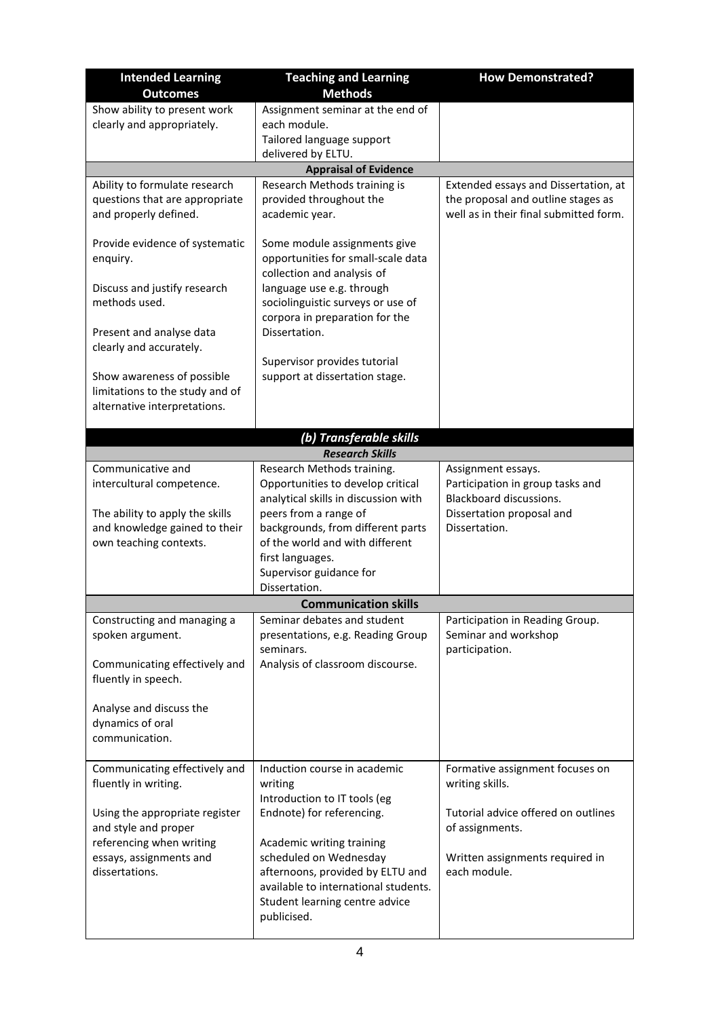| <b>Intended Learning</b>                                | <b>Teaching and Learning</b>                                         | <b>How Demonstrated?</b>                                                     |
|---------------------------------------------------------|----------------------------------------------------------------------|------------------------------------------------------------------------------|
| <b>Outcomes</b>                                         | <b>Methods</b>                                                       |                                                                              |
| Show ability to present work                            | Assignment seminar at the end of                                     |                                                                              |
| clearly and appropriately.                              | each module.                                                         |                                                                              |
|                                                         | Tailored language support                                            |                                                                              |
|                                                         | delivered by ELTU.                                                   |                                                                              |
|                                                         | <b>Appraisal of Evidence</b>                                         |                                                                              |
| Ability to formulate research                           | Research Methods training is                                         | Extended essays and Dissertation, at                                         |
| questions that are appropriate<br>and properly defined. | provided throughout the<br>academic year.                            | the proposal and outline stages as<br>well as in their final submitted form. |
|                                                         |                                                                      |                                                                              |
| Provide evidence of systematic                          | Some module assignments give                                         |                                                                              |
| enquiry.                                                | opportunities for small-scale data                                   |                                                                              |
|                                                         | collection and analysis of                                           |                                                                              |
| Discuss and justify research                            | language use e.g. through                                            |                                                                              |
| methods used.                                           | sociolinguistic surveys or use of                                    |                                                                              |
|                                                         | corpora in preparation for the                                       |                                                                              |
| Present and analyse data                                | Dissertation.                                                        |                                                                              |
| clearly and accurately.                                 | Supervisor provides tutorial                                         |                                                                              |
| Show awareness of possible                              | support at dissertation stage.                                       |                                                                              |
| limitations to the study and of                         |                                                                      |                                                                              |
| alternative interpretations.                            |                                                                      |                                                                              |
|                                                         |                                                                      |                                                                              |
|                                                         | (b) Transferable skills                                              |                                                                              |
|                                                         | <b>Research Skills</b>                                               |                                                                              |
| Communicative and                                       | Research Methods training.                                           | Assignment essays.                                                           |
| intercultural competence.                               | Opportunities to develop critical                                    | Participation in group tasks and                                             |
|                                                         | analytical skills in discussion with                                 | Blackboard discussions.                                                      |
| The ability to apply the skills                         | peers from a range of                                                | Dissertation proposal and                                                    |
| and knowledge gained to their<br>own teaching contexts. | backgrounds, from different parts<br>of the world and with different | Dissertation.                                                                |
|                                                         | first languages.                                                     |                                                                              |
|                                                         | Supervisor guidance for                                              |                                                                              |
|                                                         | Dissertation.                                                        |                                                                              |
|                                                         | <b>Communication skills</b>                                          |                                                                              |
| Constructing and managing a                             | Seminar debates and student                                          | Participation in Reading Group.                                              |
| spoken argument.                                        | presentations, e.g. Reading Group                                    | Seminar and workshop                                                         |
|                                                         | seminars.                                                            | participation.                                                               |
| Communicating effectively and                           | Analysis of classroom discourse.                                     |                                                                              |
| fluently in speech.                                     |                                                                      |                                                                              |
| Analyse and discuss the                                 |                                                                      |                                                                              |
| dynamics of oral                                        |                                                                      |                                                                              |
| communication.                                          |                                                                      |                                                                              |
|                                                         |                                                                      |                                                                              |
| Communicating effectively and                           | Induction course in academic                                         | Formative assignment focuses on                                              |
| fluently in writing.                                    | writing                                                              | writing skills.                                                              |
|                                                         | Introduction to IT tools (eg                                         |                                                                              |
| Using the appropriate register                          | Endnote) for referencing.                                            | Tutorial advice offered on outlines                                          |
| and style and proper                                    |                                                                      | of assignments.                                                              |
| referencing when writing                                | Academic writing training                                            |                                                                              |
| essays, assignments and<br>dissertations.               | scheduled on Wednesday<br>afternoons, provided by ELTU and           | Written assignments required in<br>each module.                              |
|                                                         | available to international students.                                 |                                                                              |
|                                                         | Student learning centre advice                                       |                                                                              |
|                                                         | publicised.                                                          |                                                                              |
|                                                         |                                                                      |                                                                              |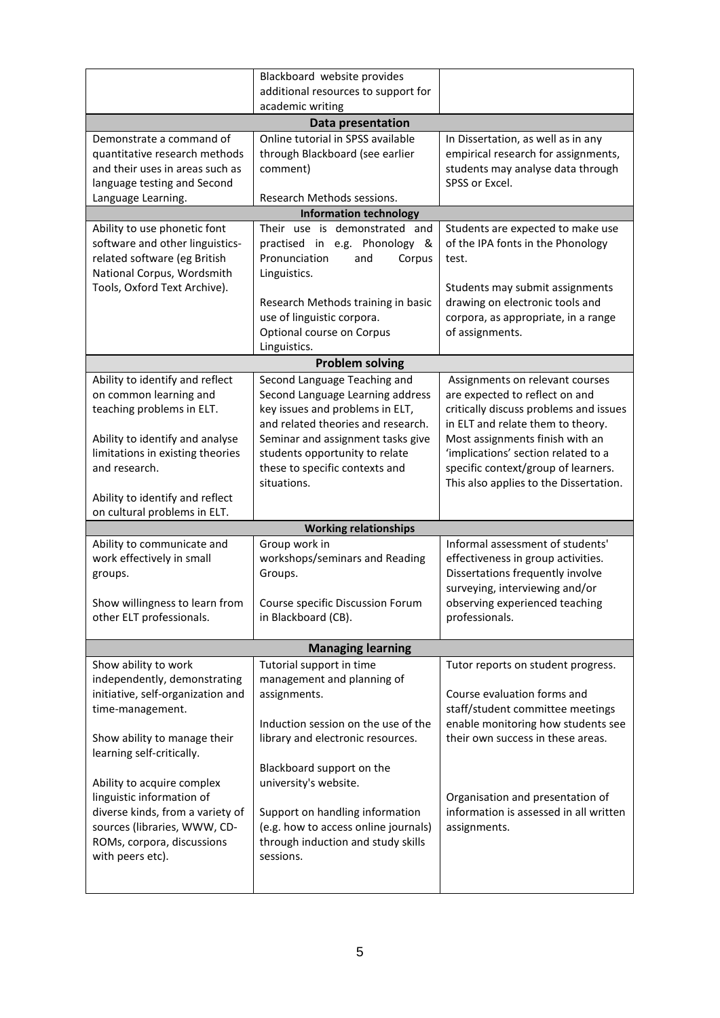|                                                            | Blackboard website provides<br>additional resources to support for |                                                                               |  |  |  |  |
|------------------------------------------------------------|--------------------------------------------------------------------|-------------------------------------------------------------------------------|--|--|--|--|
|                                                            | academic writing                                                   |                                                                               |  |  |  |  |
| Data presentation                                          |                                                                    |                                                                               |  |  |  |  |
| Demonstrate a command of                                   | Online tutorial in SPSS available                                  | In Dissertation, as well as in any                                            |  |  |  |  |
| quantitative research methods                              | through Blackboard (see earlier                                    | empirical research for assignments,                                           |  |  |  |  |
| and their uses in areas such as                            | comment)                                                           | students may analyse data through                                             |  |  |  |  |
| language testing and Second<br>Language Learning.          | SPSS or Excel.<br>Research Methods sessions.                       |                                                                               |  |  |  |  |
|                                                            | <b>Information technology</b>                                      |                                                                               |  |  |  |  |
| Ability to use phonetic font                               | Their use is demonstrated and                                      | Students are expected to make use                                             |  |  |  |  |
| software and other linguistics-                            | practised in e.g. Phonology &                                      | of the IPA fonts in the Phonology                                             |  |  |  |  |
| related software (eg British                               | Pronunciation<br>and<br>Corpus                                     | test.                                                                         |  |  |  |  |
| National Corpus, Wordsmith                                 | Linguistics.                                                       |                                                                               |  |  |  |  |
| Tools, Oxford Text Archive).                               |                                                                    | Students may submit assignments                                               |  |  |  |  |
|                                                            | Research Methods training in basic                                 | drawing on electronic tools and                                               |  |  |  |  |
|                                                            | use of linguistic corpora.<br>Optional course on Corpus            | corpora, as appropriate, in a range<br>of assignments.                        |  |  |  |  |
|                                                            | Linguistics.                                                       |                                                                               |  |  |  |  |
|                                                            | <b>Problem solving</b>                                             |                                                                               |  |  |  |  |
| Ability to identify and reflect                            | Second Language Teaching and                                       | Assignments on relevant courses                                               |  |  |  |  |
| on common learning and                                     | Second Language Learning address                                   | are expected to reflect on and                                                |  |  |  |  |
| teaching problems in ELT.                                  | key issues and problems in ELT,                                    | critically discuss problems and issues                                        |  |  |  |  |
|                                                            | and related theories and research.                                 | in ELT and relate them to theory.                                             |  |  |  |  |
| Ability to identify and analyse                            | Seminar and assignment tasks give                                  | Most assignments finish with an                                               |  |  |  |  |
| limitations in existing theories                           | students opportunity to relate                                     | 'implications' section related to a                                           |  |  |  |  |
| and research.                                              | these to specific contexts and<br>situations.                      | specific context/group of learners.<br>This also applies to the Dissertation. |  |  |  |  |
| Ability to identify and reflect                            |                                                                    |                                                                               |  |  |  |  |
| on cultural problems in ELT.                               |                                                                    |                                                                               |  |  |  |  |
|                                                            | <b>Working relationships</b>                                       |                                                                               |  |  |  |  |
| Ability to communicate and                                 | Group work in                                                      | Informal assessment of students'                                              |  |  |  |  |
| work effectively in small                                  | workshops/seminars and Reading                                     | effectiveness in group activities.                                            |  |  |  |  |
| groups.                                                    | Groups.                                                            | Dissertations frequently involve                                              |  |  |  |  |
|                                                            |                                                                    | surveying, interviewing and/or                                                |  |  |  |  |
| Show willingness to learn from<br>other ELT professionals. | Course specific Discussion Forum<br>in Blackboard (CB).            | observing experienced teaching<br>professionals.                              |  |  |  |  |
|                                                            |                                                                    |                                                                               |  |  |  |  |
|                                                            | <b>Managing learning</b>                                           |                                                                               |  |  |  |  |
| Show ability to work                                       | Tutorial support in time                                           | Tutor reports on student progress.                                            |  |  |  |  |
| independently, demonstrating                               | management and planning of                                         |                                                                               |  |  |  |  |
| initiative, self-organization and                          | assignments.                                                       | Course evaluation forms and                                                   |  |  |  |  |
| time-management.                                           |                                                                    | staff/student committee meetings                                              |  |  |  |  |
| Show ability to manage their                               |                                                                    |                                                                               |  |  |  |  |
|                                                            | Induction session on the use of the                                | enable monitoring how students see                                            |  |  |  |  |
|                                                            | library and electronic resources.                                  | their own success in these areas.                                             |  |  |  |  |
| learning self-critically.                                  |                                                                    |                                                                               |  |  |  |  |
| Ability to acquire complex                                 | Blackboard support on the<br>university's website.                 |                                                                               |  |  |  |  |
| linguistic information of                                  |                                                                    | Organisation and presentation of                                              |  |  |  |  |
| diverse kinds, from a variety of                           | Support on handling information                                    | information is assessed in all written                                        |  |  |  |  |
| sources (libraries, WWW, CD-                               | (e.g. how to access online journals)                               | assignments.                                                                  |  |  |  |  |
| ROMs, corpora, discussions                                 | through induction and study skills                                 |                                                                               |  |  |  |  |
| with peers etc).                                           | sessions.                                                          |                                                                               |  |  |  |  |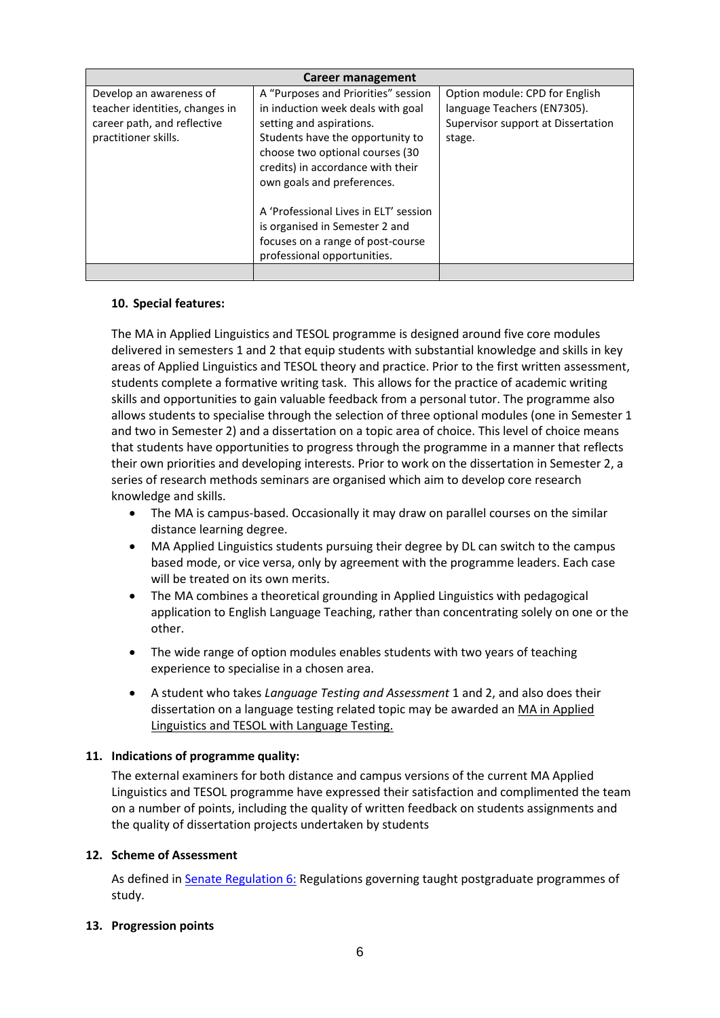| Career management                                                                                                |                                                                                                                                                                                                                                                |                                                                                                               |  |  |  |
|------------------------------------------------------------------------------------------------------------------|------------------------------------------------------------------------------------------------------------------------------------------------------------------------------------------------------------------------------------------------|---------------------------------------------------------------------------------------------------------------|--|--|--|
| Develop an awareness of<br>teacher identities, changes in<br>career path, and reflective<br>practitioner skills. | A "Purposes and Priorities" session<br>in induction week deals with goal<br>setting and aspirations.<br>Students have the opportunity to<br>choose two optional courses (30<br>credits) in accordance with their<br>own goals and preferences. | Option module: CPD for English<br>language Teachers (EN7305).<br>Supervisor support at Dissertation<br>stage. |  |  |  |
|                                                                                                                  | A 'Professional Lives in ELT' session<br>is organised in Semester 2 and<br>focuses on a range of post-course<br>professional opportunities.                                                                                                    |                                                                                                               |  |  |  |

### **10. Special features:**

The MA in Applied Linguistics and TESOL programme is designed around five core modules delivered in semesters 1 and 2 that equip students with substantial knowledge and skills in key areas of Applied Linguistics and TESOL theory and practice. Prior to the first written assessment, students complete a formative writing task. This allows for the practice of academic writing skills and opportunities to gain valuable feedback from a personal tutor. The programme also allows students to specialise through the selection of three optional modules (one in Semester 1 and two in Semester 2) and a dissertation on a topic area of choice. This level of choice means that students have opportunities to progress through the programme in a manner that reflects their own priorities and developing interests. Prior to work on the dissertation in Semester 2, a series of research methods seminars are organised which aim to develop core research knowledge and skills.

- The MA is campus-based. Occasionally it may draw on parallel courses on the similar distance learning degree.
- MA Applied Linguistics students pursuing their degree by DL can switch to the campus based mode, or vice versa, only by agreement with the programme leaders. Each case will be treated on its own merits.
- The MA combines a theoretical grounding in Applied Linguistics with pedagogical application to English Language Teaching, rather than concentrating solely on one or the other.
- The wide range of option modules enables students with two years of teaching experience to specialise in a chosen area.
- A student who takes *Language Testing and Assessment* 1 and 2, and also does their dissertation on a language testing related topic may be awarded an MA in Applied Linguistics and TESOL with Language Testing.

### **11. Indications of programme quality:**

The external examiners for both distance and campus versions of the current MA Applied Linguistics and TESOL programme have expressed their satisfaction and complimented the team on a number of points, including the quality of written feedback on students assignments and the quality of dissertation projects undertaken by students

### **12. Scheme of Assessment**

As defined in [Senate Regulation 6:](http://www.le.ac.uk/senate-regulation6) Regulations governing taught postgraduate programmes of study.

### **13. Progression points**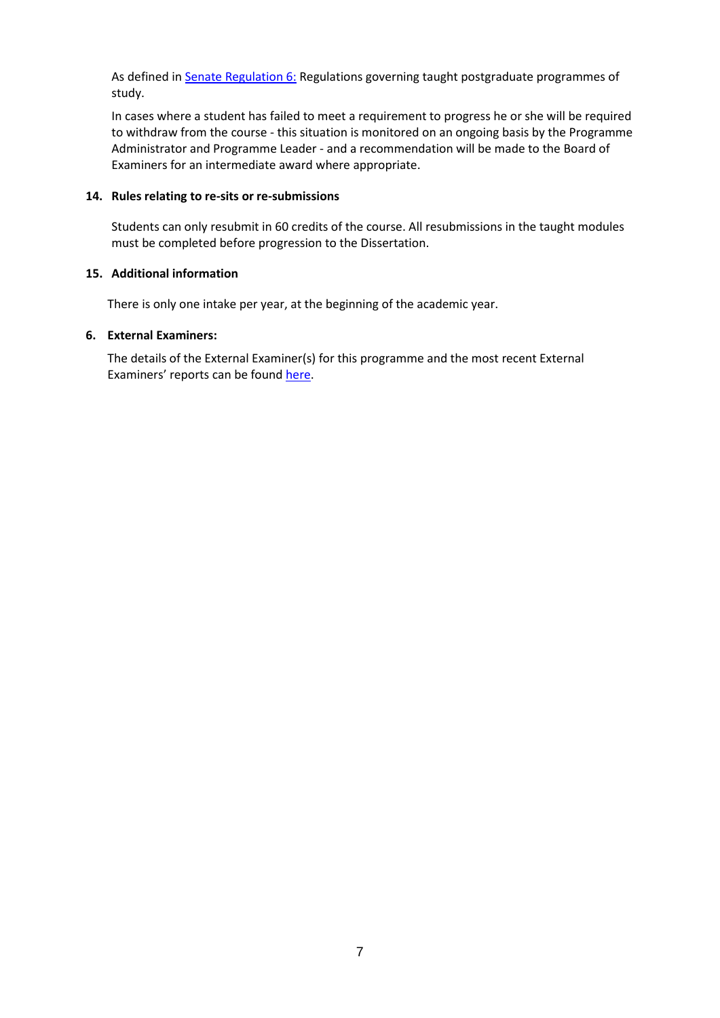As defined in [Senate Regulation 6:](http://www.le.ac.uk/senate-regulation6) Regulations governing taught postgraduate programmes of study.

In cases where a student has failed to meet a requirement to progress he or she will be required to withdraw from the course - this situation is monitored on an ongoing basis by the Programme Administrator and Programme Leader - and a recommendation will be made to the Board of Examiners for an intermediate award where appropriate.

### **14. Rules relating to re-sits or re-submissions**

Students can only resubmit in 60 credits of the course. All resubmissions in the taught modules must be completed before progression to the Dissertation.

### **15. Additional information**

There is only one intake per year, at the beginning of the academic year.

#### **6. External Examiners:**

The details of the External Examiner(s) for this programme and the most recent External Examiners' reports can be found [here.](https://exampapers.le.ac.uk/xmlui/handle/123456789/213)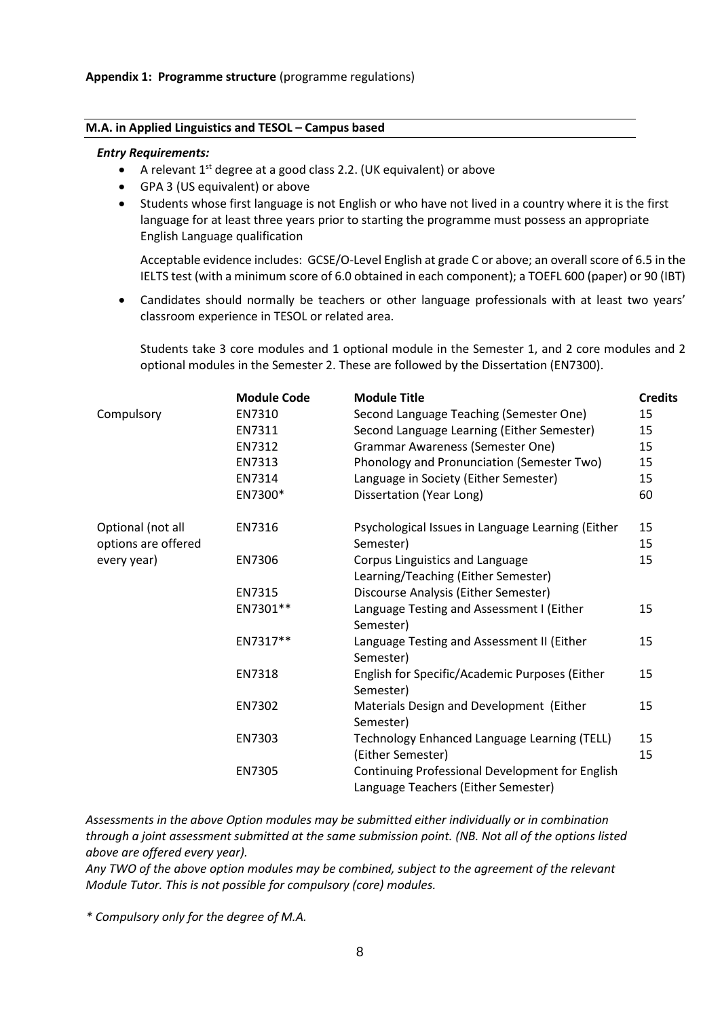#### **M.A. in Applied Linguistics and TESOL – Campus based**

#### *Entry Requirements:*

- A relevant  $1^{st}$  degree at a good class 2.2. (UK equivalent) or above
- GPA 3 (US equivalent) or above
- Students whose first language is not English or who have not lived in a country where it is the first language for at least three years prior to starting the programme must possess an appropriate English Language qualification

Acceptable evidence includes: GCSE/O-Level English at grade C or above; an overall score of 6.5 in the IELTS test (with a minimum score of 6.0 obtained in each component); a TOEFL 600 (paper) or 90 (IBT)

• Candidates should normally be teachers or other language professionals with at least two years' classroom experience in TESOL or related area.

Students take 3 core modules and 1 optional module in the Semester 1, and 2 core modules and 2 optional modules in the Semester 2. These are followed by the Dissertation (EN7300).

|                     | <b>Module Code</b> | <b>Module Title</b>                                                                    | <b>Credits</b> |
|---------------------|--------------------|----------------------------------------------------------------------------------------|----------------|
| Compulsory          | EN7310             | Second Language Teaching (Semester One)                                                | 15             |
|                     | EN7311             | Second Language Learning (Either Semester)                                             | 15             |
|                     | EN7312             | Grammar Awareness (Semester One)                                                       | 15             |
|                     | EN7313             | Phonology and Pronunciation (Semester Two)                                             | 15             |
|                     | EN7314             | Language in Society (Either Semester)                                                  | 15             |
|                     | EN7300*            | Dissertation (Year Long)                                                               | 60             |
| Optional (not all   | EN7316             | Psychological Issues in Language Learning (Either                                      | 15             |
| options are offered |                    | Semester)                                                                              | 15             |
| every year)         | EN7306             | Corpus Linguistics and Language                                                        | 15             |
|                     |                    | Learning/Teaching (Either Semester)                                                    |                |
|                     | EN7315             | Discourse Analysis (Either Semester)                                                   |                |
|                     | EN7301**           | Language Testing and Assessment I (Either<br>Semester)                                 | 15             |
|                     | EN7317**           | Language Testing and Assessment II (Either<br>Semester)                                | 15             |
|                     | EN7318             | English for Specific/Academic Purposes (Either<br>Semester)                            | 15             |
|                     | EN7302             | Materials Design and Development (Either<br>Semester)                                  | 15             |
|                     | EN7303             | Technology Enhanced Language Learning (TELL)<br>(Either Semester)                      | 15<br>15       |
|                     | EN7305             | Continuing Professional Development for English<br>Language Teachers (Either Semester) |                |

*Assessments in the above Option modules may be submitted either individually or in combination through a joint assessment submitted at the same submission point. (NB. Not all of the options listed above are offered every year).*

*Any TWO of the above option modules may be combined, subject to the agreement of the relevant Module Tutor. This is not possible for compulsory (core) modules.* 

*\* Compulsory only for the degree of M.A.*